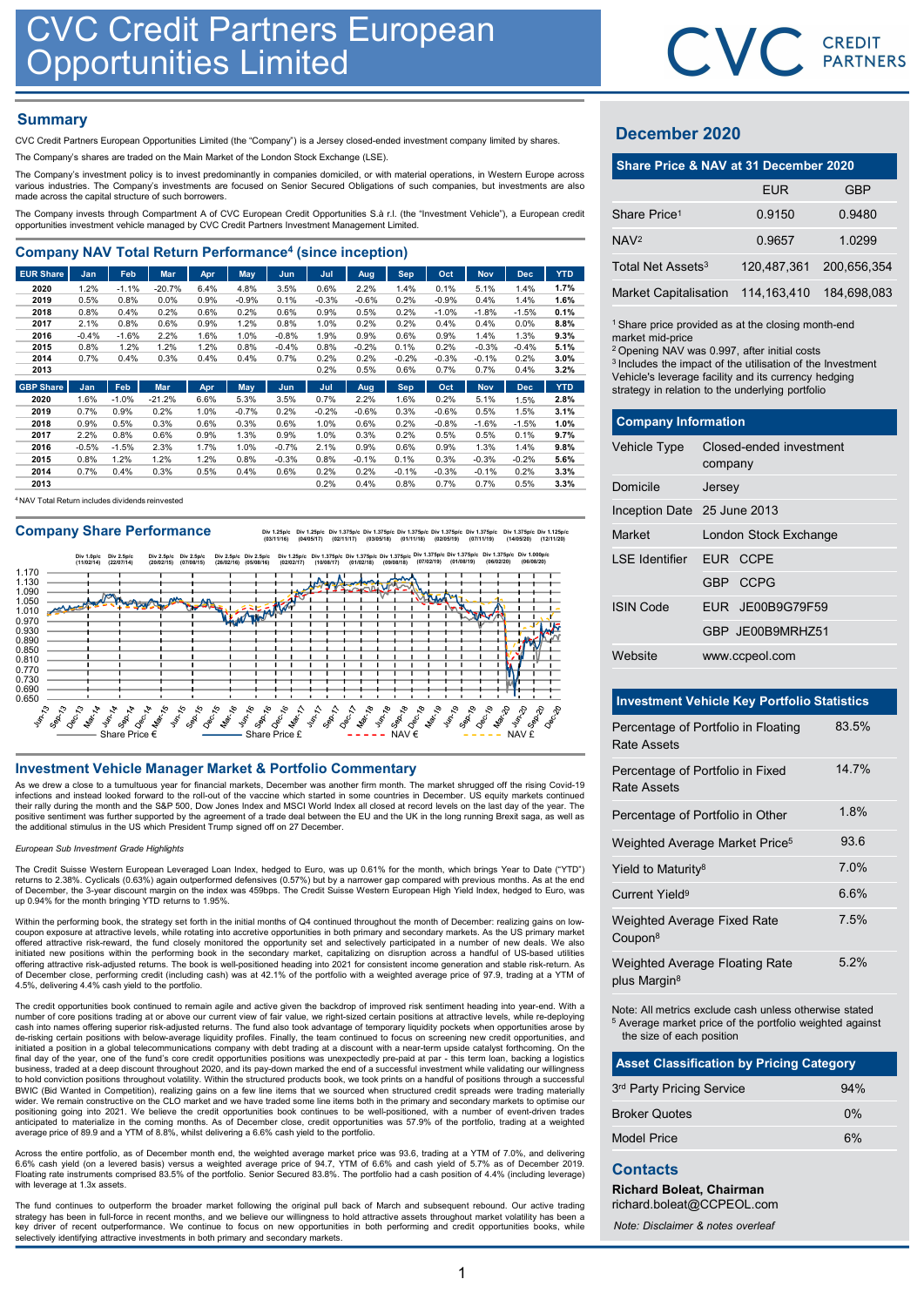## **Summary**

| <b>CVC Credit Partners European</b><br><b>Opportunities Limited</b>                                                                                                                                                                     |                 |                 |                 |              |                    |                    |              |                 |                    |              |                    |                    |                    |                                                                                                                             | <b>CVC</b> CRI |              |
|-----------------------------------------------------------------------------------------------------------------------------------------------------------------------------------------------------------------------------------------|-----------------|-----------------|-----------------|--------------|--------------------|--------------------|--------------|-----------------|--------------------|--------------|--------------------|--------------------|--------------------|-----------------------------------------------------------------------------------------------------------------------------|----------------|--------------|
| <b>Summary</b><br>CVC Credit Partners European Opportunities Limited (the "Company") is a Jersey closed-ended investment company limited by shares.                                                                                     |                 |                 |                 |              |                    |                    |              |                 |                    |              |                    |                    |                    | <b>December 2020</b>                                                                                                        |                |              |
| The Company's shares are traded on the Main Market of the London Stock Exchange (LSE).                                                                                                                                                  |                 |                 |                 |              |                    |                    |              |                 |                    |              |                    |                    |                    |                                                                                                                             |                |              |
| The Company's investment policy is to invest predominantly in companies domiciled, or with material operations, in Western Europe across                                                                                                |                 |                 |                 |              |                    |                    |              |                 |                    |              |                    |                    |                    | Share Price & NAV at 31 December 202                                                                                        |                |              |
| various industries. The Company's investments are focused on Senior Secured Obligations of such companies, but investments are also<br>made across the capital structure of such borrowers.                                             |                 |                 |                 |              |                    |                    |              |                 |                    |              |                    |                    |                    |                                                                                                                             | <b>EUR</b>     |              |
| The Company invests through Compartment A of CVC European Credit Opportunities S.à r.l. (the "Investment Vehicle"), a European credit<br>opportunities investment vehicle managed by CVC Credit Partners Investment Management Limited. |                 |                 |                 |              |                    |                    |              |                 |                    |              |                    |                    |                    | Share Price <sup>1</sup>                                                                                                    | 0.9150         | 0            |
|                                                                                                                                                                                                                                         |                 |                 |                 |              |                    |                    |              |                 |                    |              |                    |                    |                    | NAV <sup>2</sup>                                                                                                            | 0.9657         | $\mathbf{1}$ |
| <b>Company NAV Total Return Performance<sup>4</sup> (since inception)</b>                                                                                                                                                               |                 |                 |                 |              |                    |                    |              |                 |                    |              |                    |                    |                    | Total Net Assets <sup>3</sup>                                                                                               | 120,487,361    | 200,         |
| <b>EUR Share</b><br>2020                                                                                                                                                                                                                | Jan<br>1.2%     | Feb<br>$-1.1%$  | Mar<br>$-20.7%$ | Apr<br>6.4%  | <b>May</b><br>4.8% | Jun<br>3.5%        | Jul<br>0.6%  | Aug<br>2.2%     | <b>Sep</b><br>1.4% | Oct<br>0.1%  | <b>Nov</b><br>5.1% | <b>Dec</b><br>1.4% | <b>YTD</b><br>1.7% |                                                                                                                             |                |              |
| 2019                                                                                                                                                                                                                                    | 0.5%            | 0.8%            | 0.0%            | 0.9%         | $-0.9%$            | 0.1%               | $-0.3%$      | $-0.6%$         | 0.2%               | $-0.9%$      | 0.4%               | 1.4%               | 1.6%               | <b>Market Capitalisation</b>                                                                                                | 114.163.410    | 184,         |
| 2018                                                                                                                                                                                                                                    | 0.8%            | 0.4%            | 0.2%            | 0.6%         | 0.2%               | 0.6%               | 0.9%         | 0.5%            | 0.2%               | $-1.0%$      | $-1.8%$            | $-1.5%$            | 0.1%               |                                                                                                                             |                |              |
| 2017                                                                                                                                                                                                                                    | 2.1%            | 0.8%            | 0.6%            | 0.9%         | 1.2%               | 0.8%               | 1.0%         | 0.2%            | 0.2%               | 0.4%         | 0.4%               | $0.0\%$            | 8.8%               | <sup>1</sup> Share price provided as at the closing month-en                                                                |                |              |
| 2016<br>2015                                                                                                                                                                                                                            | $-0.4%$<br>0.8% | $-1.6%$<br>1.2% | 2.2%<br>1.2%    | 1.6%<br>1.2% | 1.0%<br>0.8%       | $-0.8%$<br>$-0.4%$ | 1.9%<br>0.8% | 0.9%<br>$-0.2%$ | 0.6%<br>0.1%       | 0.9%<br>0.2% | 1.4%<br>$-0.3%$    | 1.3%<br>$-0.4%$    | 9.3%<br>5.1%       | market mid-price                                                                                                            |                |              |
| 2014                                                                                                                                                                                                                                    | 0.7%            | 0.4%            | 0.3%            | 0.4%         | 0.4%               | 0.7%               | 0.2%         | 0.2%            | $-0.2%$            | $-0.3%$      | $-0.1%$            | 0.2%               | 3.0%               | <sup>2</sup> Opening NAV was 0.997, after initial costs<br><sup>3</sup> Includes the impact of the utilisation of the Inves |                |              |
| 2013                                                                                                                                                                                                                                    |                 |                 |                 |              |                    |                    | 0.2%         | 0.5%            | 0.6%               | 0.7%         | 0.7%               | 0.4%               | 3.2%               | Vehicle's leverage facility and its currency hedgin                                                                         |                |              |
| <b>GBP Share</b>                                                                                                                                                                                                                        | Jan             | Feb             | <b>Mar</b>      | Apr          | May                | Jun                | Jul          | Aug             | <b>Sep</b>         | Oct          | <b>Nov</b>         | <b>Dec</b>         | <b>YTD</b>         | strategy in relation to the underlying portfolio                                                                            |                |              |

| 2020 | $.6\%$  | $-1.0%$ | $-21.2%$ | 6.6% | 5.3%    | 3.5%    | 0.7%    | 2.2%    | .6%     | 0.2%    | 5.1%    | 1.5%    | 2.8% |
|------|---------|---------|----------|------|---------|---------|---------|---------|---------|---------|---------|---------|------|
| 2019 | 0.7%    | 0.9%    | 0.2%     | 1.0% | $-0.7%$ | 0.2%    | $-0.2%$ | $-0.6%$ | 0.3%    | $-0.6%$ | 0.5%    | .5%     | 3.1% |
| 2018 | 0.9%    | 0.5%    | 0.3%     | 0.6% | 0.3%    | 0.6%    | 1.0%    | 0.6%    | 0.2%    | $-0.8%$ | $-1.6%$ | $-1.5%$ | 1.0% |
| 2017 | 2.2%    | 0.8%    | 0.6%     | 0.9% | 1.3%    | 0.9%    | 1.0%    | 0.3%    | 0.2%    | 0.5%    | 0.5%    | 0.1%    | 9.7% |
| 2016 | $-0.5%$ | $-1.5%$ | 2.3%     | 1.7% | 1.0%    | $-0.7%$ | 2.1%    | 0.9%    | 0.6%    | 0.9%    | 1.3%    | 1.4%    | 9.8% |
| 2015 | 0.8%    | 1.2%    | $1.2\%$  | 1.2% | 0.8%    | $-0.3%$ | 0.8%    | $-0.1%$ | 0.1%    | 0.3%    | $-0.3%$ | $-0.2%$ | 5.6% |
| 2014 | 0.7%    | 0.4%    | 0.3%     | 0.5% | 0.4%    | 0.6%    | 0.2%    | 0.2%    | $-0.1%$ | $-0.3%$ | $-0.1%$ | 0.2%    | 3.3% |
| 2013 |         |         |          |      |         |         | 0.2%    | 0.4%    | 0.8%    | 0.7%    | 0.7%    | 0.5%    | 3.3% |

<sup>4</sup> NAV Total Return includes dividends reinvested

Company Share Performance **by 1.25plc** Div 1.25plc Div 1.275plc Div 1.375plc Div 1.375plc Div 1.375plc Div 1.375plc Div 1.375plc Div 1.375plc Div 1.375plc Div 1.375plc Div 1.375plc Div 1.375plc Div 1.375plc Div 1.128plc Di



As we drew a close to a tumultuous year for financial markets, December was another firm month. The market shrugged off the rising Covid-19 infections and instead looked forward to the roll-out of the vaccine which started in some countries in December. US equity markets continued<br>their rally during the month and the S&P 500, Dow Jones Index and MSCI World Ind positive sentiment was further supported by the agreement of a trade deal between the EU and the UK in the long running Brexit saga, as well as<br>the additional stimulus in the US which President Trump signed off on 27 Decem

### European Sub Investment Grade Highlights

The Credit Suisse Western European Leveraged Loan Index, hedged to Euro, was up 0.61% for the month, which brings Year to Date ("YTD")<br>returns to 2.38%. Cyclicals (0.63%) again outperformed defensives (0.57%) but by a narr of December, the 3-year discount margin on the index was 459bps. The Credit Suisse Western European High Yield Index, hedged to Euro, was up 0.94% for the month bringing YTD returns to 1.95%.

Within the performing book, the strategy set forth in the initial months of Q4 continued throughout the month of December: realizing gains on lowcoupon exposure at attractive levels, while rotating into accretive opportunities in both primary and secondary markets. As the US primary market<br>offered attractive risk-reward, the fund closely monitored the opportunity s offering attractive risk-adjusted returns. The book is well-positioned heading into 2021 for consistent income generation and stable risk-return. As<br>of December close, performing credit (including cash) was at 42.1% of the 4.5%, delivering 4.4% cash yield to the portfolio.

The credit opportunities book continued to remain agile and active given the backdrop of improved risk sentiment heading into year-end. With a number of core positions trading at or above our current view of fair value, we right-sized certain positions at attractive levels, while re-deploying<br>cash into names offering superior risk-adjusted returns. The fund also de-risking certain positions with below-average liquidity profiles. Finally, the team continued to focus on screening new credit opportunities, and<br>initiated a position in a global telecommunications company with debt trad business, traded at a deep discount throughout 2020, and its pay-down marked the end of a successful investment while validating our willingness<br>to hold conviction positions throughout volatility. Within the structured pro BWIC (Bid Wanted in Competition), realizing gains on a few line items that we sourced when structured credit spreads were trading materially<br>wider. We remain constructive on the CLO market and we have traded some line item anticipated to materialize in the coming months. As of December close, credit opportunities was 57.9% of the portfolio, trading at a weighted average price of 89.9 and a YTM of 8.8%, whilst delivering a 6.6% cash yield to the portfolio.

Across the entire portfolio, as of December month end, the weighted average market price was 93.6, trading at a YTM of 7.0%, and delivering<br>6.6% cash yield (on a levered basis) versus a weighted average price of 94.7, YTM with leverage at 1.3x assets.

The fund continues to outperform the broader market following the original pull back of March and subsequent rebound. Our active trading strategy has been in full-force in recent months, and we believe our willingness to hold attractive assets throughout market volatility has been a<br>key driver of recent outperformance. We continue to focus on new opportunit selectively identifying attractive investments in both primary and secondary markets.



# December 2020

|                               | CVC CREDIT                                                                                                                                                                                                                                                                                                    |             |
|-------------------------------|---------------------------------------------------------------------------------------------------------------------------------------------------------------------------------------------------------------------------------------------------------------------------------------------------------------|-------------|
|                               |                                                                                                                                                                                                                                                                                                               |             |
|                               |                                                                                                                                                                                                                                                                                                               |             |
| December 2020                 |                                                                                                                                                                                                                                                                                                               |             |
|                               | Share Price & NAV at 31 December 2020                                                                                                                                                                                                                                                                         |             |
|                               | <b>EUR</b>                                                                                                                                                                                                                                                                                                    | <b>GBP</b>  |
| Share Price <sup>1</sup>      | 0.9150                                                                                                                                                                                                                                                                                                        | 0.9480      |
| NAV <sup>2</sup>              | 0.9657                                                                                                                                                                                                                                                                                                        | 1.0299      |
| Total Net Assets <sup>3</sup> | 120,487,361                                                                                                                                                                                                                                                                                                   | 200,656,354 |
| <b>Market Capitalisation</b>  | 114,163,410                                                                                                                                                                                                                                                                                                   | 184,698,083 |
| market mid-price              | <sup>1</sup> Share price provided as at the closing month-end<br><sup>2</sup> Opening NAV was 0.997, after initial costs<br><sup>3</sup> Includes the impact of the utilisation of the Investment<br>Vehicle's leverage facility and its currency hedging<br>strategy in relation to the underlying portfolio |             |
| <b>Company Information</b>    |                                                                                                                                                                                                                                                                                                               |             |
| Vehicle Type                  | Closed-ended investment                                                                                                                                                                                                                                                                                       |             |
|                               | company                                                                                                                                                                                                                                                                                                       |             |
| Domicile                      | Jersey                                                                                                                                                                                                                                                                                                        |             |
| Inception Date 25 June 2013   |                                                                                                                                                                                                                                                                                                               |             |

| December 2020                                                                                                                                                                                                                                                                                                                     |         |                                                    |             |
|-----------------------------------------------------------------------------------------------------------------------------------------------------------------------------------------------------------------------------------------------------------------------------------------------------------------------------------|---------|----------------------------------------------------|-------------|
|                                                                                                                                                                                                                                                                                                                                   |         | Share Price & NAV at 31 December 2020              |             |
|                                                                                                                                                                                                                                                                                                                                   |         | <b>EUR</b>                                         | <b>GBP</b>  |
| Share Price <sup>1</sup>                                                                                                                                                                                                                                                                                                          |         | 0.9150                                             | 0.9480      |
| NAV <sup>2</sup>                                                                                                                                                                                                                                                                                                                  |         | 0.9657                                             | 1.0299      |
| Total Net Assets <sup>3</sup>                                                                                                                                                                                                                                                                                                     |         | 120,487,361                                        | 200,656,354 |
| <b>Market Capitalisation</b>                                                                                                                                                                                                                                                                                                      |         | 114, 163, 410                                      | 184,698,083 |
| <sup>1</sup> Share price provided as at the closing month-end<br>market mid-price<br><sup>2</sup> Opening NAV was 0.997, after initial costs<br><sup>3</sup> Includes the impact of the utilisation of the Investment<br>Vehicle's leverage facility and its currency hedging<br>strategy in relation to the underlying portfolio |         |                                                    |             |
| <b>Company Information</b>                                                                                                                                                                                                                                                                                                        |         |                                                    |             |
| Vehicle Type                                                                                                                                                                                                                                                                                                                      | company | Closed-ended investment                            |             |
| Domicile                                                                                                                                                                                                                                                                                                                          | Jersey  |                                                    |             |
| Inception Date 25 June 2013                                                                                                                                                                                                                                                                                                       |         |                                                    |             |
| Market                                                                                                                                                                                                                                                                                                                            |         | London Stock Exchange                              |             |
| <b>LSE</b> Identifier                                                                                                                                                                                                                                                                                                             |         | EUR CCPE                                           |             |
|                                                                                                                                                                                                                                                                                                                                   |         | GBP CCPG                                           |             |
| <b>ISIN Code</b>                                                                                                                                                                                                                                                                                                                  | EUR     | JE00B9G79F59                                       |             |
|                                                                                                                                                                                                                                                                                                                                   |         | GBP JE00B9MRHZ51                                   |             |
| Website                                                                                                                                                                                                                                                                                                                           |         | www.ccpeol.com                                     |             |
|                                                                                                                                                                                                                                                                                                                                   |         |                                                    |             |
|                                                                                                                                                                                                                                                                                                                                   |         | <b>Investment Vehicle Key Portfolio Statistics</b> | 83.5%       |
| Percentage of Portfolio in Floating<br>Rate Assets                                                                                                                                                                                                                                                                                |         |                                                    |             |

### Investment Vehicle Key Portfolio Statistics

|                                                    | GBP JE00B9MRHZ51                                                                                                              |       |
|----------------------------------------------------|-------------------------------------------------------------------------------------------------------------------------------|-------|
| Website                                            | www.ccpeol.com                                                                                                                |       |
|                                                    |                                                                                                                               |       |
|                                                    | <b>Investment Vehicle Key Portfolio Statistics</b>                                                                            |       |
| <b>Rate Assets</b>                                 | Percentage of Portfolio in Floating                                                                                           | 83.5% |
| <b>Rate Assets</b>                                 | Percentage of Portfolio in Fixed                                                                                              | 14.7% |
|                                                    | Percentage of Portfolio in Other                                                                                              | 1.8%  |
|                                                    | Weighted Average Market Price <sup>5</sup>                                                                                    | 93.6  |
| Yield to Maturity <sup>8</sup>                     |                                                                                                                               | 7.0%  |
| Current Yield <sup>9</sup>                         |                                                                                                                               | 6.6%  |
| Coupon <sup>8</sup>                                | Weighted Average Fixed Rate                                                                                                   | 7.5%  |
| plus Margin <sup>8</sup>                           | Weighted Average Floating Rate                                                                                                | 5.2%  |
| the size of each position                          | Note: All metrics exclude cash unless otherwise stated<br><sup>5</sup> Average market price of the portfolio weighted against |       |
|                                                    | <b>Asset Classification by Pricing Category</b>                                                                               |       |
| 3rd Party Pricing Service                          |                                                                                                                               | 94%   |
| <b>Broker Quotes</b>                               |                                                                                                                               | 0%    |
| <b>Model Price</b>                                 |                                                                                                                               | 6%    |
| <b>Contacts</b><br><b>Richard Boleat, Chairman</b> | richard.boleat@CCPEOL.com<br>Note: Disclaimer & notes overleaf                                                                |       |

| <b>Asset Classification by Pricing Category</b> |     |
|-------------------------------------------------|-----|
| 3rd Party Pricing Service                       | 94% |
| <b>Broker Quotes</b>                            | 0%  |
| <b>Model Price</b>                              | 6%  |

# **Contacts**